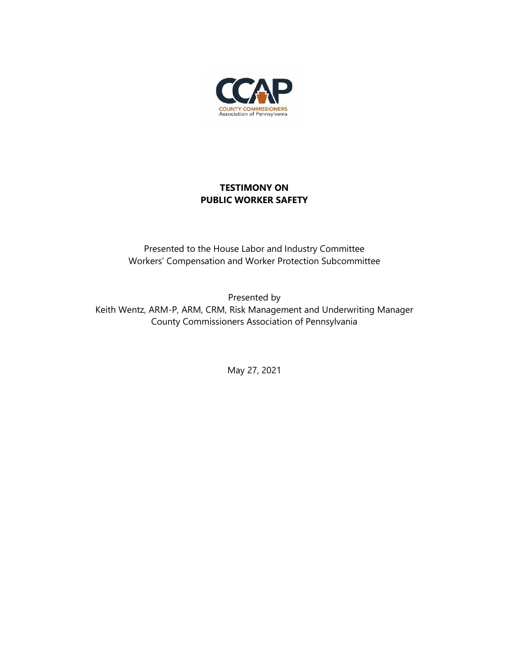

## **TESTIMONY ON PUBLIC WORKER SAFETY**

Presented to the House Labor and Industry Committee Workers' Compensation and Worker Protection Subcommittee

Presented by Keith Wentz, ARM-P, ARM, CRM, Risk Management and Underwriting Manager County Commissioners Association of Pennsylvania

May 27, 2021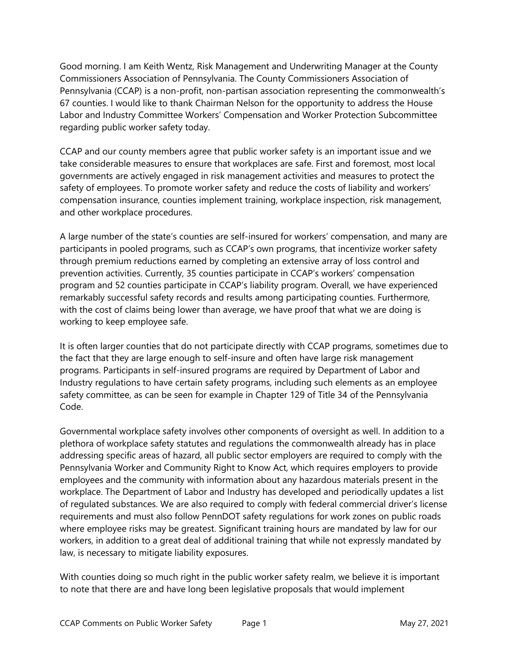Good morning. I am Keith Wentz, Risk Management and Underwriting Manager at the County Commissioners Association of Pennsylvania. The County Commissioners Association of Pennsylvania (CCAP) is a non-profit, non-partisan association representing the commonwealth's 67 counties. I would like to thank Chairman Nelson for the opportunity to address the House Labor and Industry Committee Workers' Compensation and Worker Protection Subcommittee regarding public worker safety today.

CCAP and our county members agree that public worker safety is an important issue and we take considerable measures to ensure that workplaces are safe. First and foremost, most local governments are actively engaged in risk management activities and measures to protect the safety of employees. To promote worker safety and reduce the costs of liability and workers' compensation insurance, counties implement training, workplace inspection, risk management, and other workplace procedures.

A large number of the state's counties are self-insured for workers' compensation, and many are participants in pooled programs, such as CCAP's own programs, that incentivize worker safety through premium reductions earned by completing an extensive array of loss control and prevention activities. Currently, 35 counties participate in CCAP's workers' compensation program and 52 counties participate in CCAP's liability program. Overall, we have experienced remarkably successful safety records and results among participating counties. Furthermore, with the cost of claims being lower than average, we have proof that what we are doing is working to keep employee safe.

It is often larger counties that do not participate directly with CCAP programs, sometimes due to the fact that they are large enough to self-insure and often have large risk management programs. Participants in self-insured programs are required by Department of Labor and Industry regulations to have certain safety programs, including such elements as an employee safety committee, as can be seen for example in Chapter 129 of Title 34 of the Pennsylvania Code.

Governmental workplace safety involves other components of oversight as well. In addition to a plethora of workplace safety statutes and regulations the commonwealth already has in place addressing specific areas of hazard, all public sector employers are required to comply with the Pennsylvania Worker and Community Right to Know Act, which requires employers to provide employees and the community with information about any hazardous materials present in the workplace. The Department of Labor and Industry has developed and periodically updates a list of regulated substances. We are also required to comply with federal commercial driver's license requirements and must also follow PennDOT safety regulations for work zones on public roads where employee risks may be greatest. Significant training hours are mandated by law for our workers, in addition to a great deal of additional training that while not expressly mandated by law, is necessary to mitigate liability exposures.

With counties doing so much right in the public worker safety realm, we believe it is important to note that there are and have long been legislative proposals that would implement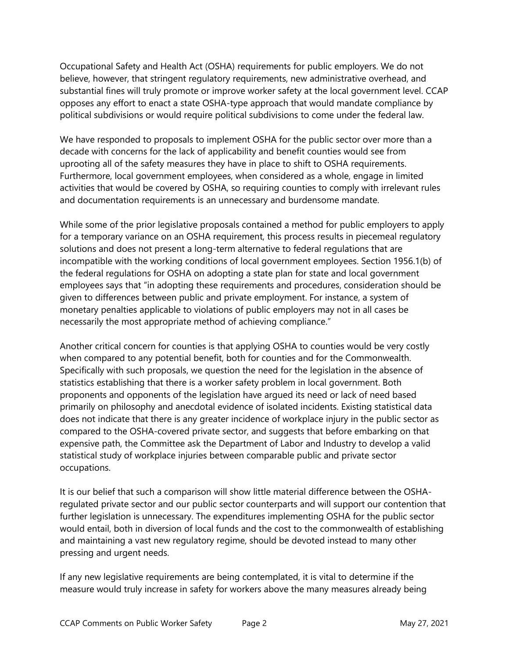Occupational Safety and Health Act (OSHA) requirements for public employers. We do not believe, however, that stringent regulatory requirements, new administrative overhead, and substantial fines will truly promote or improve worker safety at the local government level. CCAP opposes any effort to enact a state OSHA-type approach that would mandate compliance by political subdivisions or would require political subdivisions to come under the federal law.

We have responded to proposals to implement OSHA for the public sector over more than a decade with concerns for the lack of applicability and benefit counties would see from uprooting all of the safety measures they have in place to shift to OSHA requirements. Furthermore, local government employees, when considered as a whole, engage in limited activities that would be covered by OSHA, so requiring counties to comply with irrelevant rules and documentation requirements is an unnecessary and burdensome mandate.

While some of the prior legislative proposals contained a method for public employers to apply for a temporary variance on an OSHA requirement, this process results in piecemeal regulatory solutions and does not present a long-term alternative to federal regulations that are incompatible with the working conditions of local government employees. Section 1956.1(b) of the federal regulations for OSHA on adopting a state plan for state and local government employees says that "in adopting these requirements and procedures, consideration should be given to differences between public and private employment. For instance, a system of monetary penalties applicable to violations of public employers may not in all cases be necessarily the most appropriate method of achieving compliance."

Another critical concern for counties is that applying OSHA to counties would be very costly when compared to any potential benefit, both for counties and for the Commonwealth. Specifically with such proposals, we question the need for the legislation in the absence of statistics establishing that there is a worker safety problem in local government. Both proponents and opponents of the legislation have argued its need or lack of need based primarily on philosophy and anecdotal evidence of isolated incidents. Existing statistical data does not indicate that there is any greater incidence of workplace injury in the public sector as compared to the OSHA-covered private sector, and suggests that before embarking on that expensive path, the Committee ask the Department of Labor and Industry to develop a valid statistical study of workplace injuries between comparable public and private sector occupations.

It is our belief that such a comparison will show little material difference between the OSHAregulated private sector and our public sector counterparts and will support our contention that further legislation is unnecessary. The expenditures implementing OSHA for the public sector would entail, both in diversion of local funds and the cost to the commonwealth of establishing and maintaining a vast new regulatory regime, should be devoted instead to many other pressing and urgent needs.

If any new legislative requirements are being contemplated, it is vital to determine if the measure would truly increase in safety for workers above the many measures already being